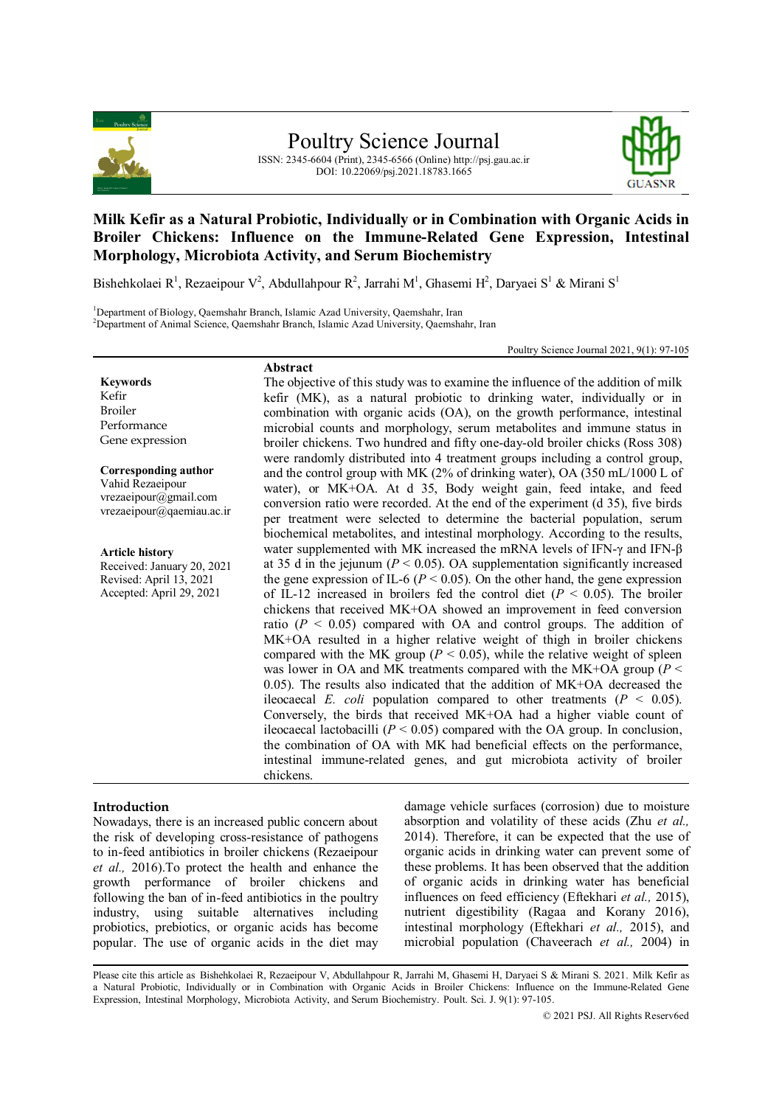

ISSN: 2345-6604 (Print), 2345-6566 (Online) http://psj.gau.ac.ir DOI: 10.22069/psj.2021.18783.1665



# **Milk Kefir as a Natural Probiotic, Individually or in Combination with Organic Acids in Broiler Chickens: Influence on the Immune-Related Gene Expression, Intestinal Morphology, Microbiota Activity, and Serum Biochemistry**

Bishehkolaei R<sup>1</sup>, Rezaeipour V<sup>2</sup>, Abdullahpour R<sup>2</sup>, Jarrahi M<sup>1</sup>, Ghasemi H<sup>2</sup>, Daryaei S<sup>1</sup> & Mirani S<sup>1</sup>

<sup>1</sup>Department of Biology, Qaemshahr Branch, Islamic Azad University, Qaemshahr, Iran <sup>2</sup>Department of Animal Science, Qaemshahr Branch, Islamic Azad University, Qaemshahr, Iran

Poultry Science Journal 2021, 9(1): 97-105

### **Abstract**

**Keywords** Kefir Broiler Performance Gene expression

**Corresponding author** Vahid Rezaeipour vrezaeipour@gmail.com vrezaeipour@qaemiau.ac.ir

**Article history** Received: January 20, 2021 Revised: April 13, 2021 Accepted: April 29, 2021

The objective of this study was to examine the influence of the addition of milk kefir (MK), as a natural probiotic to drinking water, individually or in combination with organic acids (OA), on the growth performance, intestinal microbial counts and morphology, serum metabolites and immune status in broiler chickens. Two hundred and fifty one-day-old broiler chicks (Ross 308) were randomly distributed into 4 treatment groups including a control group, and the control group with MK (2% of drinking water), OA (350 mL/1000 L of water), or MK+OA. At d 35, Body weight gain, feed intake, and feed conversion ratio were recorded. At the end of the experiment (d 35), five birds per treatment were selected to determine the bacterial population, serum biochemical metabolites, and intestinal morphology. According to the results, water supplemented with MK increased the mRNA levels of IFN- $\gamma$  and IFN- $\beta$ at 35 d in the jejunum  $(P < 0.05)$ . OA supplementation significantly increased the gene expression of IL-6 ( $P < 0.05$ ). On the other hand, the gene expression of IL-12 increased in broilers fed the control diet  $(P < 0.05)$ . The broiler chickens that received MK+OA showed an improvement in feed conversion ratio  $(P < 0.05)$  compared with OA and control groups. The addition of MK+OA resulted in a higher relative weight of thigh in broiler chickens compared with the MK group ( $P < 0.05$ ), while the relative weight of spleen was lower in OA and MK treatments compared with the MK+OA group ( $P \leq$ 0.05). The results also indicated that the addition of MK+OA decreased the ileocaecal *E. coli* population compared to other treatments  $(P < 0.05)$ . Conversely, the birds that received MK+OA had a higher viable count of ileocaecal lactobacilli  $(P < 0.05)$  compared with the OA group. In conclusion, the combination of OA with MK had beneficial effects on the performance, intestinal immune-related genes, and gut microbiota activity of broiler chickens.

# **Introduction**

Nowadays, there is an increased public concern about the risk of developing cross-resistance of pathogens to in-feed antibiotics in broiler chickens (Rezaeipour *et al.,* 2016).To protect the health and enhance the growth performance of broiler chickens and following the ban of in-feed antibiotics in the poultry industry, using suitable alternatives including probiotics, prebiotics, or organic acids has become popular. The use of organic acids in the diet may damage vehicle surfaces (corrosion) due to moisture absorption and volatility of these acids (Zhu *et al.,* 2014). Therefore, it can be expected that the use of organic acids in drinking water can prevent some of these problems. It has been observed that the addition of organic acids in drinking water has beneficial influences on feed efficiency (Eftekhari *et al.,* 2015), nutrient digestibility (Ragaa and Korany 2016), intestinal morphology (Eftekhari *et al.,* 2015), and microbial population (Chaveerach *et al.,* 2004) in

Please cite this article as Bishehkolaei R, Rezaeipour V, Abdullahpour R, Jarrahi M, Ghasemi H, Daryaei S & Mirani S. 2021. Milk Kefir as a Natural Probiotic, Individually or in Combination with Organic Acids in Broiler Chickens: Influence on the Immune-Related Gene Expression, Intestinal Morphology, Microbiota Activity, and Serum Biochemistry. Poult. Sci. J. 9(1): 97-105.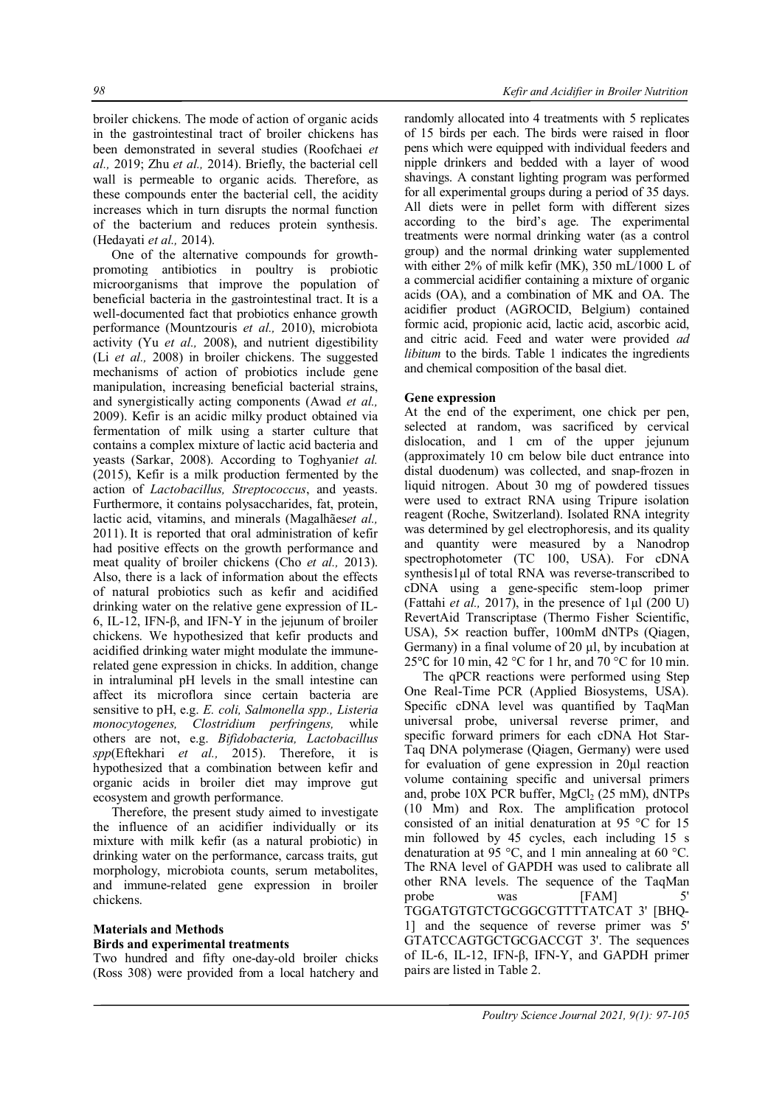broiler chickens. The mode of action of organic acids in the gastrointestinal tract of broiler chickens has been demonstrated in several studies (Roofchaei *et al.,* 2019; Zhu *et al.,* 2014). Briefly, the bacterial cell wall is permeable to organic acids. Therefore, as these compounds enter the bacterial cell, the acidity increases which in turn disrupts the normal function of the bacterium and reduces protein synthesis. (Hedayati *et al.,* 2014).

One of the alternative compounds for growthpromoting antibiotics in poultry is probiotic microorganisms that improve the population of beneficial bacteria in the gastrointestinal tract. It is a well-documented fact that probiotics enhance growth performance (Mountzouris *et al.,* 2010), microbiota activity (Yu *et al.,* 2008), and nutrient digestibility (Li *et al.,* 2008) in broiler chickens. The suggested mechanisms of action of probiotics include gene manipulation, increasing beneficial bacterial strains, and synergistically acting components (Awad *et al.,* 2009). Kefir is an acidic milky product obtained via fermentation of milk using a starter culture that contains a complex mixture of lactic acid bacteria and yeasts (Sarkar, 2008). According to Toghyani*et al.* (2015), Kefir is a milk production fermented by the action of *Lactobacillus, Streptococcus*, and yeasts. Furthermore, it contains polysaccharides, fat, protein, lactic acid, vitamins, and minerals (Magalhães*et al.,* 2011). It is reported that oral administration of kefir had positive effects on the growth performance and meat quality of broiler chickens (Cho *et al.,* 2013). Also, there is a lack of information about the effects of natural probiotics such as kefir and acidified drinking water on the relative gene expression of IL-6, IL-12, IFN-β, and IFN-Y in the jejunum of broiler chickens. We hypothesized that kefir products and acidified drinking water might modulate the immunerelated gene expression in chicks. In addition, change in intraluminal pH levels in the small intestine can affect its microflora since certain bacteria are sensitive to pH, e.g. *E. coli, Salmonella spp., Listeria monocytogenes, Clostridium perfringens,* while others are not, e.g. *Bifidobacteria, Lactobacillus spp*(Eftekhari *et al.,* 2015). Therefore, it is hypothesized that a combination between kefir and organic acids in broiler diet may improve gut ecosystem and growth performance.

Therefore, the present study aimed to investigate the influence of an acidifier individually or its mixture with milk kefir (as a natural probiotic) in drinking water on the performance, carcass traits, gut morphology, microbiota counts, serum metabolites, and immune-related gene expression in broiler chickens.

# **Materials and Methods**

#### **Birds and experimental treatments**

Two hundred and fifty one-day-old broiler chicks (Ross 308) were provided from a local hatchery and randomly allocated into 4 treatments with 5 replicates of 15 birds per each. The birds were raised in floor pens which were equipped with individual feeders and nipple drinkers and bedded with a layer of wood shavings. A constant lighting program was performed for all experimental groups during a period of 35 days. All diets were in pellet form with different sizes according to the bird's age. The experimental treatments were normal drinking water (as a control group) and the normal drinking water supplemented with either 2% of milk kefir (MK), 350 mL/1000 L of a commercial acidifier containing a mixture of organic acids (OA), and a combination of MK and OA. The acidifier product (AGROCID, Belgium) contained formic acid, propionic acid, lactic acid, ascorbic acid, and citric acid. Feed and water were provided *ad libitum* to the birds. Table 1 indicates the ingredients and chemical composition of the basal diet.

### **Gene expression**

At the end of the experiment, one chick per pen, selected at random, was sacrificed by cervical dislocation, and 1 cm of the upper jejunum (approximately 10 cm below bile duct entrance into distal duodenum) was collected, and snap-frozen in liquid nitrogen. About 30 mg of powdered tissues were used to extract RNA using Tripure isolation reagent (Roche, Switzerland). Isolated RNA integrity was determined by gel electrophoresis, and its quality and quantity were measured by a Nanodrop spectrophotometer (TC 100, USA). For cDNA synthesis1µl of total RNA was reverse-transcribed to cDNA using a gene-specific stem-loop primer (Fattahi *et al.,* 2017), in the presence of 1µl (200 U) RevertAid Transcriptase (Thermo Fisher Scientific, USA), 5× reaction buffer, 100mM dNTPs (Qiagen, Germany) in a final volume of 20 µl, by incubation at 25 °C for 10 min, 42 °C for 1 hr, and 70 °C for 10 min.

The qPCR reactions were performed using Step One Real-Time PCR (Applied Biosystems, USA). Specific cDNA level was quantified by TaqMan universal probe, universal reverse primer, and specific forward primers for each cDNA Hot Star-Taq DNA polymerase (Qiagen, Germany) were used for evaluation of gene expression in 20µl reaction volume containing specific and universal primers and, probe  $10X$  PCR buffer,  $MgCl<sub>2</sub>$  (25 mM), dNTPs (10 Mm) and Rox. The amplification protocol consisted of an initial denaturation at 95 °C for 15 min followed by 45 cycles, each including 15 s denaturation at 95 °C, and 1 min annealing at 60 °C. The RNA level of GAPDH was used to calibrate all other RNA levels. The sequence of the TaqMan probe was [FAM] 5' TGGATGTGTCTGCGGCGTTTTATCAT 3' [BHQ-1] and the sequence of reverse primer was 5' GTATCCAGTGCTGCGACCGT 3'. The sequences of IL-6, IL-12, IFN-β, IFN-Y, and GAPDH primer pairs are listed in Table 2.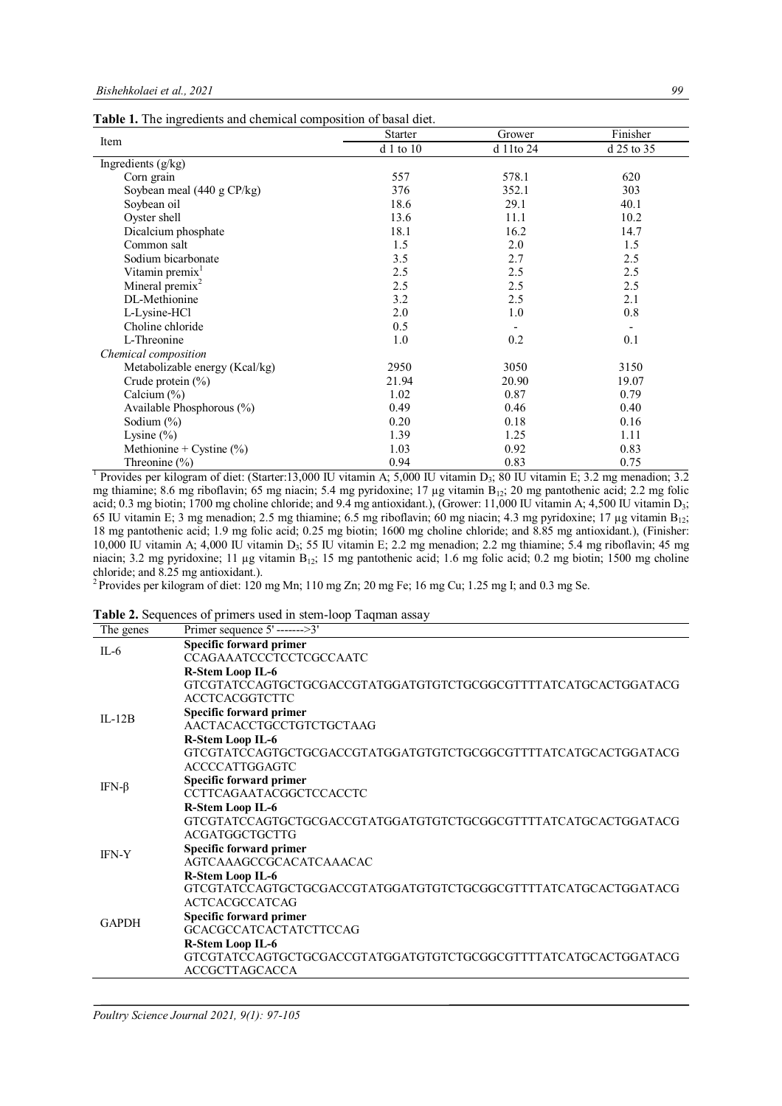**Table 1.** The ingredients and chemical composition of basal diet.

|                                      | <b>Starter</b> | Grower    | Finisher   |  |
|--------------------------------------|----------------|-----------|------------|--|
| Item                                 | $d1$ to $10$   | d 11to 24 | d 25 to 35 |  |
| Ingredients (g/kg)                   |                |           |            |  |
| Corn grain                           | 557            | 578.1     | 620        |  |
| Soybean meal $(440 \text{ g CP/kg})$ | 376            | 352.1     | 303        |  |
| Soybean oil                          | 18.6           | 29.1      | 40.1       |  |
| Oyster shell                         | 13.6           | 11.1      | 10.2       |  |
| Dicalcium phosphate                  | 18.1           | 16.2      | 14.7       |  |
| Common salt                          | 1.5            | 2.0       | 1.5        |  |
| Sodium bicarbonate                   | 3.5            | 2.7       | 2.5        |  |
| Vitamin premix <sup>1</sup>          | 2.5            | 2.5       | 2.5        |  |
| Mineral premix $2$                   | 2.5            | 2.5       | 2.5        |  |
| DL-Methionine                        | 3.2            | 2.5       | 2.1        |  |
| L-Lysine-HCl                         | 2.0            | 1.0       | $0.8\,$    |  |
| Choline chloride                     | 0.5            |           |            |  |
| L-Threonine                          | 1.0            | 0.2       | 0.1        |  |
| Chemical composition                 |                |           |            |  |
| Metabolizable energy (Kcal/kg)       | 2950           | 3050      | 3150       |  |
| Crude protein $(\% )$                | 21.94          | 20.90     | 19.07      |  |
| Calcium $(\%)$                       | 1.02           | 0.87      | 0.79       |  |
| Available Phosphorous $(\% )$        | 0.49           | 0.46      | 0.40       |  |
| Sodium $(\%)$                        | 0.20           | 0.18      | 0.16       |  |
| Lysine $(\%)$                        | 1.39           | 1.25      | 1.11       |  |
| Methionine + Cystine $(\%)$          | 1.03           | 0.92      | 0.83       |  |
| Threonine $(\%)$                     | 0.94           | 0.83      | 0.75       |  |

<sup>1</sup> Provides per kilogram of diet: (Starter:13,000 IU vitamin A; 5,000 IU vitamin D<sub>3</sub>; 80 IU vitamin E; 3.2 mg menadion; 3.2 mg thiamine; 8.6 mg riboflavin; 65 mg niacin; 5.4 mg pyridoxine; 17 µg vitamin  $B_{12}$ ; 20 mg pantothenic acid; 2.2 mg folic acid; 0.3 mg biotin; 1700 mg choline chloride; and 9.4 mg antioxidant.), (Grower: 11,000 IU vitamin A; 4,500 IU vitamin D<sub>3</sub>; 65 IU vitamin E; 3 mg menadion; 2.5 mg thiamine; 6.5 mg riboflavin; 60 mg niacin; 4.3 mg pyridoxine; 17 µg vitamin B<sub>12</sub>; 18 mg pantothenic acid; 1.9 mg folic acid; 0.25 mg biotin; 1600 mg choline chloride; and 8.85 mg antioxidant.), (Finisher: 10,000 IU vitamin A; 4,000 IU vitamin D<sub>3</sub>; 55 IU vitamin E; 2.2 mg menadion; 2.2 mg thiamine; 5.4 mg riboflavin; 45 mg niacin; 3.2 mg pyridoxine; 11 µg vitamin B<sub>12</sub>; 15 mg pantothenic acid; 1.6 mg folic acid; 0.2 mg biotin; 1500 mg choline chloride; and 8.25 mg antioxidant.).

<sup>2</sup> Provides per kilogram of diet: 120 mg Mn; 110 mg Zn; 20 mg Fe; 16 mg Cu; 1.25 mg I; and 0.3 mg Se.

**Table 2.** Sequences of primers used in stem-loop Taqman assay

| The genes    | Primer sequence $5'$ ------->3'                                |
|--------------|----------------------------------------------------------------|
| $IL-6$       | Specific forward primer                                        |
|              | CCAGAAATCCCTCCTCGCCAATC                                        |
|              | R-Stem Loop IL-6                                               |
|              | GTCGTATCCAGTGCTGCGACCGTATGGATGTGTCTGCGGCGTTTTATCATGCACTGGATACG |
|              | <b>ACCTCACGGTCTTC</b>                                          |
| $II - 12B$   | Specific forward primer                                        |
|              | AACTACACCTGCCTGTCTGCTAAG                                       |
|              | <b>R-Stem Loop IL-6</b>                                        |
|              | GTCGTATCCAGTGCTGCGACCGTATGGATGTGTCTGCGGCGTTTTATCATGCACTGGATACG |
|              | <b>ACCCCATTGGAGTC</b>                                          |
| IFN-β        | <b>Specific forward primer</b>                                 |
|              | <b>CCTTCAGAATACGGCTCCACCTC</b>                                 |
|              | <b>R-Stem Loop IL-6</b>                                        |
|              | GTCGTATCCAGTGCTGCGACCGTATGGATGTGTCTGCGGCGTTTTATCATGCACTGGATACG |
|              | <b>ACGATGGCTGCTTG</b>                                          |
| <b>IFN-Y</b> | <b>Specific forward primer</b>                                 |
|              | AGTCAAAGCCGCACATCAAACAC                                        |
|              | <b>R-Stem Loop IL-6</b>                                        |
|              | GTCGTATCCAGTGCTGCGACCGTATGGATGTGTCTGCGGCGTTTTATCATGCACTGGATACG |
|              | <b>ACTCACGCCATCAG</b>                                          |
| <b>GAPDH</b> | Specific forward primer                                        |
|              | <b>GCACGCCATCACTATCTTCCAG</b>                                  |
|              | <b>R-Stem Loop IL-6</b>                                        |
|              | GTCGTATCCAGTGCTGCGACCGTATGGATGTGTCTGCGGCGTTTTATCATGCACTGGATACG |
|              | <b>ACCGCTTAGCACCA</b>                                          |

# *Poultry Science Journal 2021, 9(1): 97-105*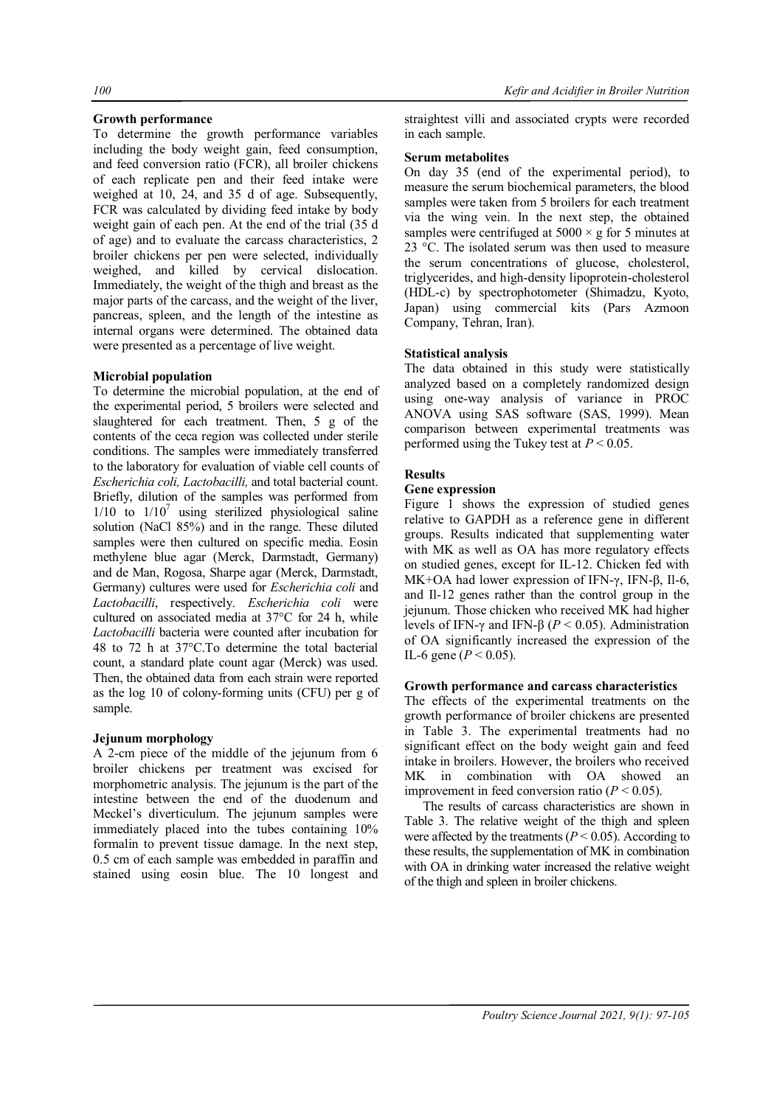### **Growth performance**

To determine the growth performance variables including the body weight gain, feed consumption, and feed conversion ratio (FCR), all broiler chickens of each replicate pen and their feed intake were weighed at 10, 24, and 35 d of age. Subsequently, FCR was calculated by dividing feed intake by body weight gain of each pen. At the end of the trial (35 d of age) and to evaluate the carcass characteristics, 2 broiler chickens per pen were selected, individually weighed, and killed by cervical dislocation. Immediately, the weight of the thigh and breast as the major parts of the carcass, and the weight of the liver, pancreas, spleen, and the length of the intestine as internal organs were determined. The obtained data were presented as a percentage of live weight.

### **Microbial population**

To determine the microbial population, at the end of the experimental period, 5 broilers were selected and slaughtered for each treatment. Then, 5 g of the contents of the ceca region was collected under sterile conditions. The samples were immediately transferred to the laboratory for evaluation of viable cell counts of *Escherichia coli, Lactobacilli,* and total bacterial count. Briefly, dilution of the samples was performed from  $1/10$  to  $1/10<sup>7</sup>$  using sterilized physiological saline solution (NaCl 85%) and in the range. These diluted samples were then cultured on specific media. Eosin methylene blue agar (Merck, Darmstadt, Germany) and de Man, Rogosa, Sharpe agar (Merck, Darmstadt, Germany) cultures were used for *Escherichia coli* and *Lactobacilli*, respectively. *Escherichia coli* were cultured on associated media at 37°C for 24 h, while *Lactobacilli* bacteria were counted after incubation for 48 to 72 h at 37°C.To determine the total bacterial count, a standard plate count agar (Merck) was used. Then, the obtained data from each strain were reported as the log 10 of colony-forming units (CFU) per g of sample.

### **Jejunum morphology**

A 2-cm piece of the middle of the jejunum from 6 broiler chickens per treatment was excised for morphometric analysis. The jejunum is the part of the intestine between the end of the duodenum and Meckel's diverticulum. The jejunum samples were immediately placed into the tubes containing 10% formalin to prevent tissue damage. In the next step, 0.5 cm of each sample was embedded in paraffin and stained using eosin blue. The 10 longest and straightest villi and associated crypts were recorded in each sample.

#### **Serum metabolites**

On day 35 (end of the experimental period), to measure the serum biochemical parameters, the blood samples were taken from 5 broilers for each treatment via the wing vein. In the next step, the obtained samples were centrifuged at  $5000 \times g$  for 5 minutes at 23 °C. The isolated serum was then used to measure the serum concentrations of glucose, cholesterol, triglycerides, and high-density lipoprotein-cholesterol (HDL-c) by spectrophotometer (Shimadzu, Kyoto, Japan) using commercial kits (Pars Azmoon Company, Tehran, Iran).

### **Statistical analysis**

The data obtained in this study were statistically analyzed based on a completely randomized design using one-way analysis of variance in PROC ANOVA using SAS software (SAS, 1999). Mean comparison between experimental treatments was performed using the Tukey test at *P* < 0.05.

### **Results**

#### **Gene expression**

Figure 1 shows the expression of studied genes relative to GAPDH as a reference gene in different groups. Results indicated that supplementing water with MK as well as OA has more regulatory effects on studied genes, except for IL-12. Chicken fed with MK+OA had lower expression of IFN-γ, IFN-β, Il-6, and Il-12 genes rather than the control group in the jejunum. Those chicken who received MK had higher levels of IFN-γ and IFN-β (*P* < 0.05). Administration of OA significantly increased the expression of the IL-6 gene ( $P < 0.05$ ).

## **Growth performance and carcass characteristics**

The effects of the experimental treatments on the growth performance of broiler chickens are presented in Table 3. The experimental treatments had no significant effect on the body weight gain and feed intake in broilers. However, the broilers who received MK in combination with OA showed an improvement in feed conversion ratio  $(P < 0.05)$ .

The results of carcass characteristics are shown in Table 3. The relative weight of the thigh and spleen were affected by the treatments ( $P < 0.05$ ). According to these results, the supplementation of MK in combination with OA in drinking water increased the relative weight of the thigh and spleen in broiler chickens.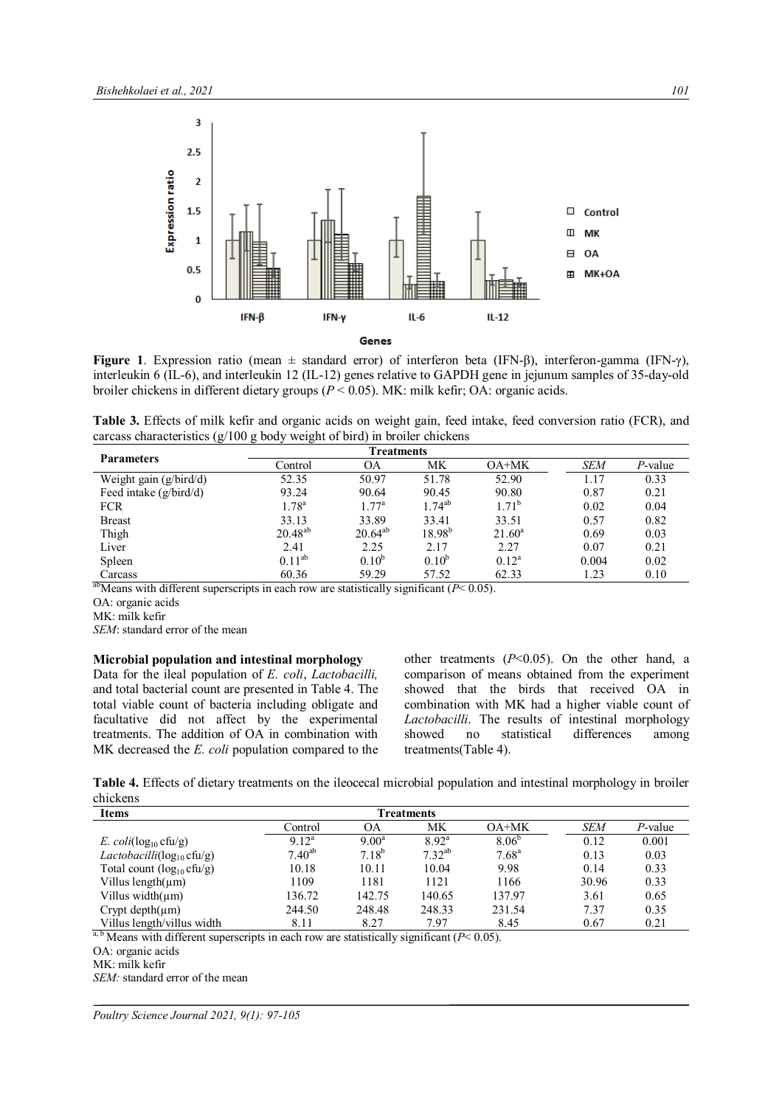

**Figure 1**. Expression ratio (mean ± standard error) of interferon beta (IFN-β), interferon-gamma (IFN-γ), interleukin 6 (IL-6), and interleukin 12 (IL-12) genes relative to GAPDH gene in jejunum samples of 35-day-old broiler chickens in different dietary groups (*P* < 0.05). MK: milk kefir; OA: organic acids.

**Table 3.** Effects of milk kefir and organic acids on weight gain, feed intake, feed conversion ratio (FCR), and carcass characteristics (g/100 g body weight of bird) in broiler chickens

| <b>Treatments</b> |                |             |                |            |         |
|-------------------|----------------|-------------|----------------|------------|---------|
| Control           | OА             | МK          | OA+MK          | <b>SEM</b> | P-value |
| 52.35             | 50.97          | 51.78       | 52.90          | 1.17       | 0.33    |
| 93.24             | 90.64          | 90.45       | 90.80          | 0.87       | 0.21    |
| $1.78^{a}$        | $1.77^{\rm a}$ | $1.74^{ab}$ | $1.71^{\circ}$ | 0.02       | 0.04    |
| 33.13             | 33.89          | 33.41       | 33.51          | 0.57       | 0.82    |
| $20.48^{ab}$      | $20.64^{ab}$   | $18.98^{b}$ | $21.60^a$      | 0.69       | 0.03    |
| 2.41              | 2.25           | 2.17        | 2.27           | 0.07       | 0.21    |
| $0.11^{ab}$       | $0.10^{b}$     | $0.10^{b}$  | $0.12^a$       | 0.004      | 0.02    |
| 60.36             | 59.29          | 57.52       | 62.33          | 1.23       | 0.10    |
|                   |                |             |                |            |         |

<sup>ab</sup>Means with different superscripts in each row are statistically significant ( $P$  < 0.05).

OA: organic acids

MK: milk kefir

*SEM*: standard error of the mean

#### **Microbial population and intestinal morphology**

Data for the ileal population of *E. coli*, *Lactobacilli,* and total bacterial count are presented in Table 4. The total viable count of bacteria including obligate and facultative did not affect by the experimental treatments. The addition of OA in combination with MK decreased the *E. coli* population compared to the other treatments (*P*<0.05). On the other hand, a comparison of means obtained from the experiment showed that the birds that received OA in combination with MK had a higher viable count of *Lactobacilli*. The results of intestinal morphology showed no statistical differences among treatments(Table 4).

**Table 4.** Effects of dietary treatments on the ileocecal microbial population and intestinal morphology in broiler chickens

| <b>Items</b>                              | <b>Treatments</b> |            |                |                |            |         |
|-------------------------------------------|-------------------|------------|----------------|----------------|------------|---------|
|                                           | Control           | OΑ         | МK             | $OA+MK$        | <b>SEM</b> | P-value |
| E. $\text{coli}(\log_{10} \text{cftu/g})$ | $9.12^a$          | $9.00^a$   | $8.92^{\rm a}$ | $8.06^{b}$     | 0.12       | 0.001   |
| <i>Lactobacilli</i> ( $log_{10}$ cfu/g)   | $7.40^{ab}$       | $7.18^{b}$ | $7.32^{ab}$    | $7.68^{\rm a}$ | 0.13       | 0.03    |
| Total count $(log_{10} c \text{fu/g})$    | 10.18             | 10.11      | 10.04          | 9.98           | 0.14       | 0.33    |
| Villus length $(\mu m)$                   | 1109              | 1181       | 1121           | 1166           | 30.96      | 0.33    |
| Villus width $(\mu m)$                    | 136.72            | 142.75     | 140.65         | 137.97         | 3.61       | 0.65    |
| Crypt depth $(\mu m)$                     | 244.50            | 248.48     | 248.33         | 231.54         | 7.37       | 0.35    |
| Villus length/villus width                | 8.11              | 8.27       | 797            | 8.45           | 0.67       | 0.21    |

 $a, b$  Means with different superscripts in each row are statistically significant ( $P < 0.05$ ).

*SEM:* standard error of the mean

*Poultry Science Journal 2021, 9(1): 97-105*

OA: organic acids

MK: milk kefir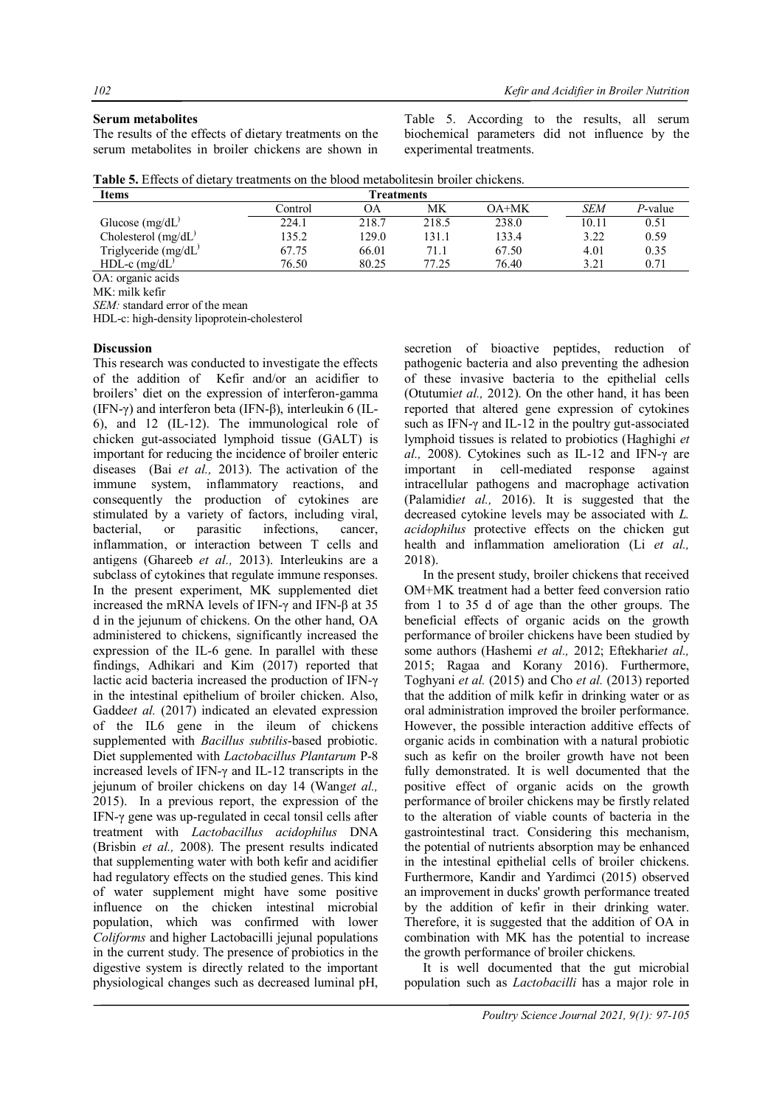#### **Serum metabolites**

The results of the effects of dietary treatments on the serum metabolites in broiler chickens are shown in

Table 5. According to the results, all serum biochemical parameters did not influence by the experimental treatments.

|  | <b>Table 5.</b> Effects of dietary treatments on the blood metabolites in broiler chickens. |
|--|---------------------------------------------------------------------------------------------|
|--|---------------------------------------------------------------------------------------------|

| Items                                                             | <b>Freatments</b> |       |       |       |       |         |
|-------------------------------------------------------------------|-------------------|-------|-------|-------|-------|---------|
|                                                                   | Control           | ОA    | МK    | OA+MK | SEM   | P-value |
| Glucose $(mg/dL)$                                                 | 224.1             | 218.7 | 218.5 | 238.0 | 10.11 | 0.51    |
| Cholesterol $(mg/dL)$                                             | 135.2             | 129.0 | 131.1 | 133.4 | 3.22  | 0.59    |
| Triglyceride $(mg/dL)$                                            | 67.75             | 66.01 | 71.1  | 67.50 | 4.01  | 0.35    |
| HDL-c $(mg/dL)$                                                   | 76.50             | 80.25 | 77.25 | 76.40 | 3.21  | 0.71    |
| $\bigcap$ A $\bigcup$ is a set of $\bigcup$ is a set $\bigcup$ in |                   |       |       |       |       |         |

OA: organic acids

MK: milk kefir

*SEM:* standard error of the mean

HDL-c: high-density lipoprotein-cholesterol

#### **Discussion**

This research was conducted to investigate the effects of the addition of Kefir and/or an acidifier to broilers' diet on the expression of interferon-gamma (IFN-γ) and interferon beta (IFN-β), interleukin 6 (IL-6), and 12 (IL-12). The immunological role of chicken gut-associated lymphoid tissue (GALT) is important for reducing the incidence of broiler enteric diseases (Bai *et al.,* 2013). The activation of the immune system, inflammatory reactions, and consequently the production of cytokines are stimulated by a variety of factors, including viral, bacterial, or parasitic infections, cancer, inflammation, or interaction between T cells and antigens (Ghareeb *et al.,* 2013). Interleukins are a subclass of cytokines that regulate immune responses. In the present experiment, MK supplemented diet increased the mRNA levels of IFN-γ and IFN-β at 35 d in the jejunum of chickens. On the other hand, OA administered to chickens, significantly increased the expression of the IL-6 gene. In parallel with these findings, Adhikari and Kim (2017) reported that lactic acid bacteria increased the production of IFN-γ in the intestinal epithelium of broiler chicken. Also, Gadde*et al.* (2017) indicated an elevated expression of the IL6 gene in the ileum of chickens supplemented with *Bacillus subtilis*-based probiotic. Diet supplemented with *Lactobacillus Plantarum* P-8 increased levels of IFN- $\gamma$  and IL-12 transcripts in the jejunum of broiler chickens on day 14 (Wang*et al.,* 2015). In a previous report, the expression of the IFN-γ gene was up-regulated in cecal tonsil cells after treatment with *Lactobacillus acidophilus* DNA (Brisbin *et al.,* 2008). The present results indicated that supplementing water with both kefir and acidifier had regulatory effects on the studied genes. This kind of water supplement might have some positive influence on the chicken intestinal microbial population, which was confirmed with lower *Coliforms* and higher Lactobacilli jejunal populations in the current study. The presence of probiotics in the digestive system is directly related to the important physiological changes such as decreased luminal pH, secretion of bioactive peptides, reduction of pathogenic bacteria and also preventing the adhesion of these invasive bacteria to the epithelial cells (Otutumi*et al.,* 2012). On the other hand, it has been reported that altered gene expression of cytokines such as IFN-γ and IL-12 in the poultry gut-associated lymphoid tissues is related to probiotics (Haghighi *et al.,* 2008). Cytokines such as IL-12 and IFN-γ are important in cell-mediated response against intracellular pathogens and macrophage activation (Palamidi*et al.,* 2016). It is suggested that the decreased cytokine levels may be associated with *L. acidophilus* protective effects on the chicken gut health and inflammation amelioration (Li *et al.,* 2018).

In the present study, broiler chickens that received OM+MK treatment had a better feed conversion ratio from 1 to 35 d of age than the other groups. The beneficial effects of organic acids on the growth performance of broiler chickens have been studied by some authors (Hashemi et al., 2012; Eftekhariet al., 2015; Ragaa and Korany 2016). Furthermore, Toghyani *et al.* (2015) and Cho *et al.* (2013) reported that the addition of milk kefir in drinking water or as oral administration improved the broiler performance. However, the possible interaction additive effects of organic acids in combination with a natural probiotic such as kefir on the broiler growth have not been fully demonstrated. It is well documented that the positive effect of organic acids on the growth performance of broiler chickens may be firstly related to the alteration of viable counts of bacteria in the gastrointestinal tract. Considering this mechanism, the potential of nutrients absorption may be enhanced in the intestinal epithelial cells of broiler chickens. Furthermore, Kandir and Yardimci (2015) observed an improvement in ducks' growth performance treated by the addition of kefir in their drinking water. Therefore, it is suggested that the addition of OA in combination with MK has the potential to increase the growth performance of broiler chickens.

It is well documented that the gut microbial population such as *Lactobacilli* has a major role in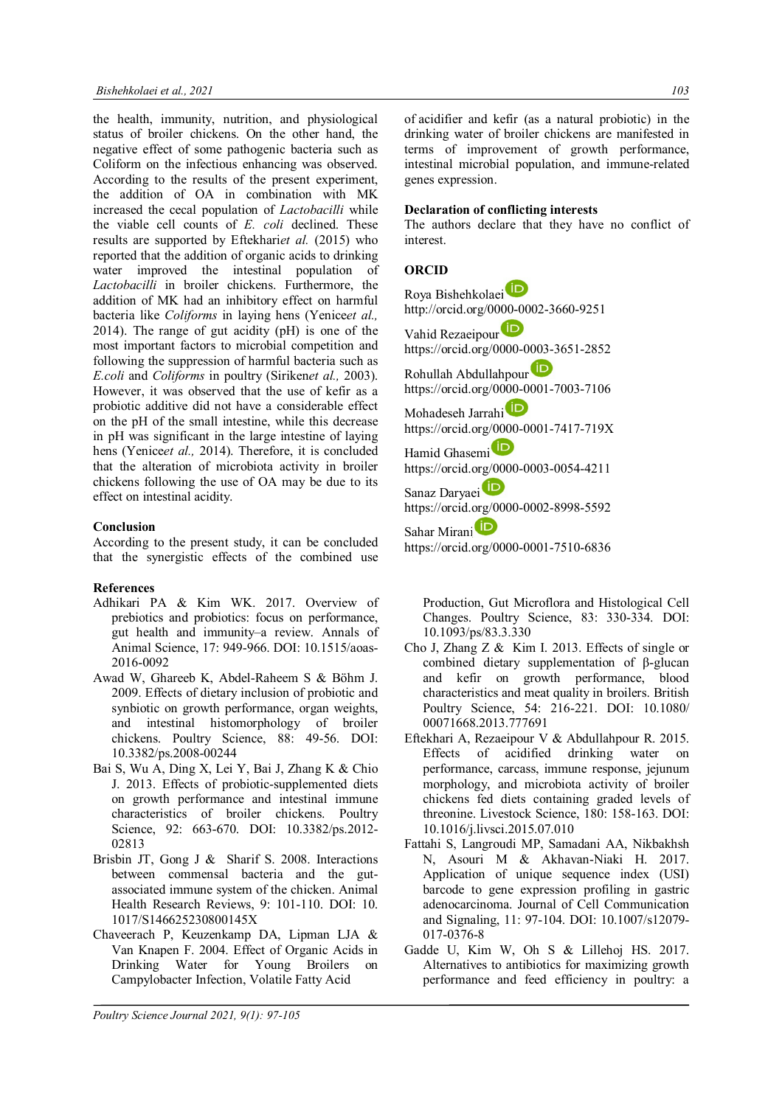the health, immunity, nutrition, and physiological status of broiler chickens. On the other hand, the negative effect of some pathogenic bacteria such as Coliform on the infectious enhancing was observed. According to the results of the present experiment, the addition of OA in combination with MK increased the cecal population of *Lactobacilli* while the viable cell counts of *E. coli* declined. These results are supported by Eftekhari*et al.* (2015) who reported that the addition of organic acids to drinking water improved the intestinal population of *Lactobacilli* in broiler chickens. Furthermore, the addition of MK had an inhibitory effect on harmful bacteria like *Coliforms* in laying hens (Yenice*et al.,* 2014). The range of gut acidity (pH) is one of the most important factors to microbial competition and following the suppression of harmful bacteria such as *E.coli* and *Coliforms* in poultry (Siriken*et al.,* 2003). However, it was observed that the use of kefir as a probiotic additive did not have a considerable effect on the pH of the small intestine, while this decrease in pH was significant in the large intestine of laying hens (Yenice*et al.,* 2014). Therefore, it is concluded that the alteration of microbiota activity in broiler chickens following the use of OA may be due to its effect on intestinal acidity.

### **Conclusion**

According to the present study, it can be concluded that the synergistic effects of the combined use

#### **References**

- Adhikari PA & Kim WK. 2017. Overview of prebiotics and probiotics: focus on performance, gut health and immunity–a review. Annals of Animal Science, 17: 949-966. DOI: 10.1515/aoas-2016-0092
- Awad W, Ghareeb K, Abdel-Raheem S & Böhm J. 2009. Effects of dietary inclusion of probiotic and synbiotic on growth performance, organ weights, and intestinal histomorphology of broiler chickens. Poultry Science, 88: 49-56. DOI: 10.3382/ps.2008-00244
- Bai S, Wu A, Ding X, Lei Y, Bai J, Zhang K & Chio J. 2013. Effects of probiotic-supplemented diets on growth performance and intestinal immune characteristics of broiler chickens. Poultry Science, 92: 663-670. DOI: 10.3382/ps.2012-02813
- Brisbin JT, Gong J & Sharif S. 2008. Interactions between commensal bacteria and the gutassociated immune system of the chicken. Animal Health Research Reviews, 9: 101-110. DOI: 10. 1017/S146625230800145X
- Chaveerach P, Keuzenkamp DA, Lipman LJA & Van Knapen F. 2004. Effect of Organic Acids in Drinking Water for Young Broilers on Campylobacter Infection, Volatile Fatty Acid

of acidifier and kefir (as a natural probiotic) in the drinking water of broiler chickens are manifested in terms of improvement of growth performance, intestinal microbial population, and immune-related genes expression.

## **Declaration of conflicting interests**

The authors declare that they have no conflict of interest.

## **ORCID**

Roya Bishehkolaei http://orcid.org/0000-0002-3660-9251

Vahid Rezaeipour https://orcid.org/0000-0003-3651-2852 Rohullah Abdullahpour

https://orcid.org/0000-0001-7003-7106

Mohadeseh Jarrahi https://orcid.org/0000-0001-7417-719X

Hamid Ghasemi<sup>D</sup> https://orcid.org/0000-0003-0054-4211

Sanaz Daryaei<sup>(ID</sup> https://orcid.org/0000-0002-8998-5592

Sahar Mirani<sup>D</sup> https://orcid.org/0000-0001-7510-6836

Production, Gut Microflora and Histological Cell Changes. Poultry Science, 83: 330-334. DOI: 10.1093/ps/83.3.330

- Cho J, Zhang Z & Kim I. 2013. Effects of single or combined dietary supplementation of β-glucan and kefir on growth performance, blood characteristics and meat quality in broilers. British Poultry Science, 54: 216-221. DOI: 10.1080/ 00071668.2013.777691
- Eftekhari A, Rezaeipour V & Abdullahpour R. 2015. Effects of acidified drinking water on performance, carcass, immune response, jejunum morphology, and microbiota activity of broiler chickens fed diets containing graded levels of threonine. Livestock Science, 180: 158-163. DOI: 10.1016/j.livsci.2015.07.010
- Fattahi S, Langroudi MP, Samadani AA, Nikbakhsh N, Asouri M & Akhavan-Niaki H. 2017. Application of unique sequence index (USI) barcode to gene expression profiling in gastric adenocarcinoma. Journal of Cell Communication and Signaling, 11: 97-104. DOI: 10.1007/s12079- 017-0376-8
- Gadde U, Kim W, Oh S & Lillehoj HS. 2017. Alternatives to antibiotics for maximizing growth performance and feed efficiency in poultry: a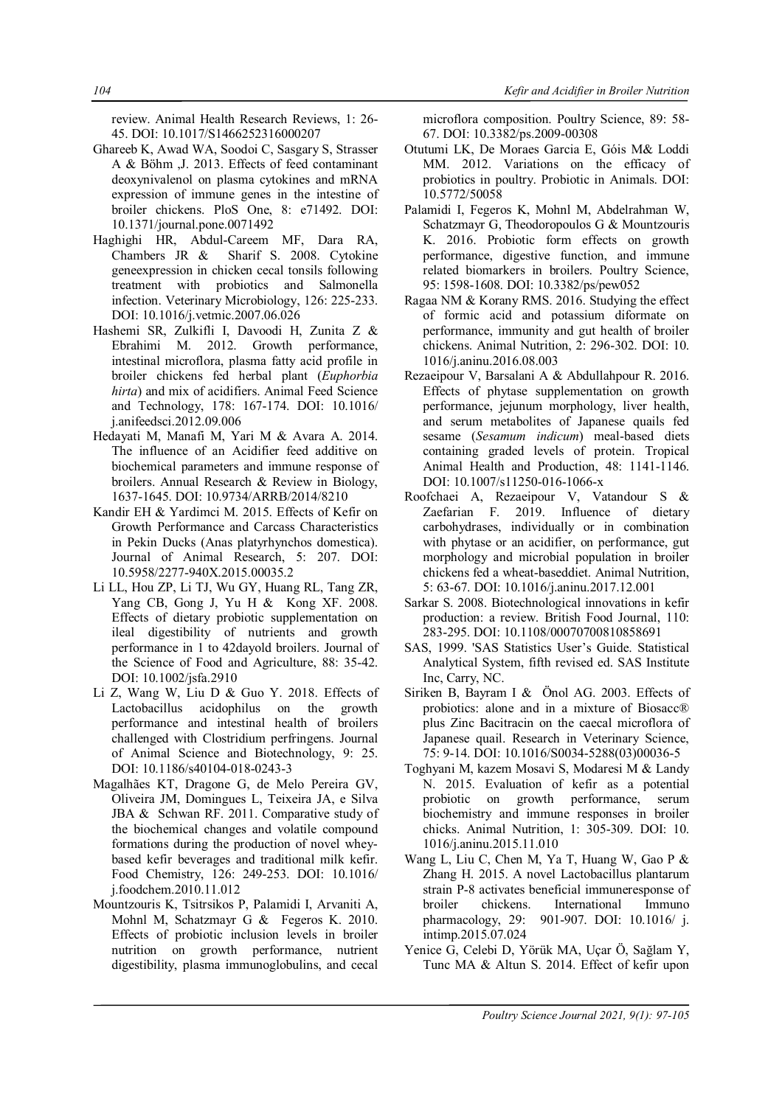review. Animal Health Research Reviews, 1: 26- 45. DOI: 10.1017/S1466252316000207

- Ghareeb K, Awad WA, Soodoi C, Sasgary S, Strasser A & Böhm ,J. 2013. Effects of feed contaminant deoxynivalenol on plasma cytokines and mRNA expression of immune genes in the intestine of broiler chickens. PloS One, 8: e71492. DOI: 10.1371/journal.pone.0071492
- Haghighi HR, Abdul-Careem MF, Dara RA, Chambers JR & Sharif S. 2008. Cytokine geneexpression in chicken cecal tonsils following treatment with probiotics and Salmonella infection. Veterinary Microbiology, 126: 225-233. DOI: 10.1016/j.vetmic.2007.06.026
- Hashemi SR, Zulkifli I, Davoodi H, Zunita Z & Ebrahimi M. 2012. Growth performance, intestinal microflora, plasma fatty acid profile in broiler chickens fed herbal plant (*Euphorbia hirta*) and mix of acidifiers. Animal Feed Science and Technology, 178: 167-174. DOI: 10.1016/ j.anifeedsci.2012.09.006
- Hedayati M, Manafi M, Yari M & Avara A. 2014. The influence of an Acidifier feed additive on biochemical parameters and immune response of broilers. Annual Research & Review in Biology, 1637-1645. DOI: 10.9734/ARRB/2014/8210
- Kandir EH & Yardimci M. 2015. Effects of Kefir on Growth Performance and Carcass Characteristics in Pekin Ducks (Anas platyrhynchos domestica). Journal of Animal Research, 5: 207. DOI: 10.5958/2277-940X.2015.00035.2
- Li LL, Hou ZP, Li TJ, Wu GY, Huang RL, Tang ZR, Yang CB, Gong J, Yu H & Kong XF. 2008. Effects of dietary probiotic supplementation on ileal digestibility of nutrients and growth performance in 1 to 42dayold broilers. Journal of the Science of Food and Agriculture, 88: 35-42. DOI: 10.1002/jsfa.2910
- Li Z, Wang W, Liu D & Guo Y. 2018. Effects of Lactobacillus acidophilus on the growth performance and intestinal health of broilers challenged with Clostridium perfringens. Journal of Animal Science and Biotechnology, 9: 25. DOI: 10.1186/s40104-018-0243-3
- Magalhães KT, Dragone G, de Melo Pereira GV, Oliveira JM, Domingues L, Teixeira JA, e Silva JBA & Schwan RF. 2011. Comparative study of the biochemical changes and volatile compound formations during the production of novel wheybased kefir beverages and traditional milk kefir. Food Chemistry, 126: 249-253. DOI: 10.1016/ j.foodchem.2010.11.012
- Mountzouris K, Tsitrsikos P, Palamidi I, Arvaniti A, Mohnl M, Schatzmayr G & Fegeros K. 2010. Effects of probiotic inclusion levels in broiler nutrition on growth performance, nutrient digestibility, plasma immunoglobulins, and cecal

microflora composition. Poultry Science, 89: 58- 67. DOI: 10.3382/ps.2009-00308

- Otutumi LK, De Moraes Garcia E, Góis M& Loddi MM. 2012. Variations on the efficacy of probiotics in poultry. Probiotic in Animals. DOI: 10.5772/50058
- Palamidi I, Fegeros K, Mohnl M, Abdelrahman W, Schatzmayr G, Theodoropoulos G & Mountzouris K. 2016. Probiotic form effects on growth performance, digestive function, and immune related biomarkers in broilers. Poultry Science, 95: 1598-1608. DOI: 10.3382/ps/pew052
- Ragaa NM & Korany RMS. 2016. Studying the effect of formic acid and potassium diformate on performance, immunity and gut health of broiler chickens. Animal Nutrition, 2: 296-302. DOI: 10. 1016/j.aninu.2016.08.003
- Rezaeipour V, Barsalani A & Abdullahpour R. 2016. Effects of phytase supplementation on growth performance, jejunum morphology, liver health, and serum metabolites of Japanese quails fed sesame (*Sesamum indicum*) meal-based diets containing graded levels of protein. Tropical Animal Health and Production, 48: 1141-1146. DOI: 10.1007/s11250-016-1066-x
- Roofchaei A, Rezaeipour V, Vatandour S & Zaefarian F. 2019. Influence of dietary carbohydrases, individually or in combination with phytase or an acidifier, on performance, gut morphology and microbial population in broiler chickens fed a wheat-baseddiet. Animal Nutrition, 5: 63-67. DOI: 10.1016/j.aninu.2017.12.001
- Sarkar S. 2008. Biotechnological innovations in kefir production: a review. British Food Journal, 110: 283-295. DOI: 10.1108/00070700810858691
- SAS, 1999. 'SAS Statistics User's Guide. Statistical Analytical System, fifth revised ed. SAS Institute Inc, Carry, NC.
- Siriken B, Bayram I & Önol AG. 2003. Effects of probiotics: alone and in a mixture of Biosacc® plus Zinc Bacitracin on the caecal microflora of Japanese quail. Research in Veterinary Science, 75: 9-14. DOI: 10.1016/S0034-5288(03)00036-5
- Toghyani M, kazem Mosavi S, Modaresi M & Landy N. 2015. Evaluation of kefir as a potential probiotic on growth performance, serum biochemistry and immune responses in broiler chicks. Animal Nutrition, 1: 305-309. DOI: 10. 1016/j.aninu.2015.11.010
- Wang L, Liu C, Chen M, Ya T, Huang W, Gao P & Zhang H. 2015. A novel Lactobacillus plantarum strain P-8 activates beneficial immuneresponse of broiler chickens. International Immuno pharmacology, 29: 901-907. DOI: 10.1016/ j. intimp.2015.07.024
- Yenice G, Celebi D, Yörük MA, Uçar Ö, Sağlam Y, Tunc MA & Altun S. 2014. Effect of kefir upon